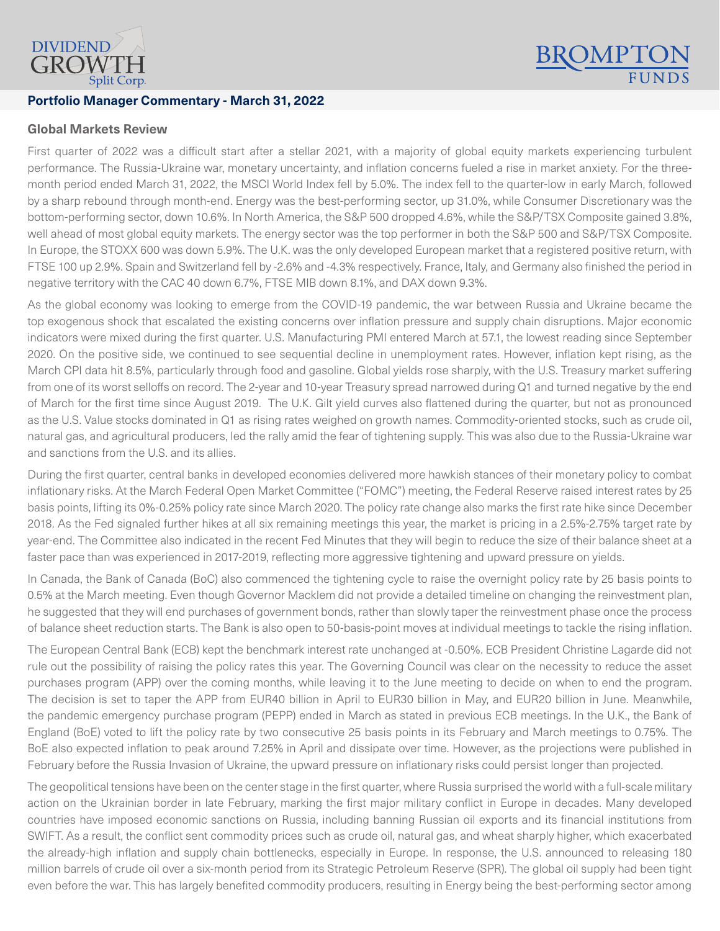

## **Portfolio Manager Commentary - March 31, 2022**

## **Global Markets Review**

First quarter of 2022 was a difficult start after a stellar 2021, with a majority of global equity markets experiencing turbulent performance. The Russia-Ukraine war, monetary uncertainty, and inflation concerns fueled a rise in market anxiety. For the threemonth period ended March 31, 2022, the MSCI World Index fell by 5.0%. The index fell to the quarter-low in early March, followed by a sharp rebound through month-end. Energy was the best-performing sector, up 31.0%, while Consumer Discretionary was the bottom-performing sector, down 10.6%. In North America, the S&P 500 dropped 4.6%, while the S&P/TSX Composite gained 3.8%, well ahead of most global equity markets. The energy sector was the top performer in both the S&P 500 and S&P/TSX Composite. In Europe, the STOXX 600 was down 5.9%. The U.K. was the only developed European market that a registered positive return, with FTSE 100 up 2.9%. Spain and Switzerland fell by -2.6% and -4.3% respectively. France, Italy, and Germany also finished the period in negative territory with the CAC 40 down 6.7%, FTSE MIB down 8.1%, and DAX down 9.3%.

**BROMPTC** 

As the global economy was looking to emerge from the COVID-19 pandemic, the war between Russia and Ukraine became the top exogenous shock that escalated the existing concerns over inflation pressure and supply chain disruptions. Major economic indicators were mixed during the first quarter. U.S. Manufacturing PMI entered March at 57.1, the lowest reading since September 2020. On the positive side, we continued to see sequential decline in unemployment rates. However, inflation kept rising, as the March CPI data hit 8.5%, particularly through food and gasoline. Global yields rose sharply, with the U.S. Treasury market suffering from one of its worst selloffs on record. The 2-year and 10-year Treasury spread narrowed during Q1 and turned negative by the end of March for the first time since August 2019. The U.K. Gilt yield curves also flattened during the quarter, but not as pronounced as the U.S. Value stocks dominated in Q1 as rising rates weighed on growth names. Commodity-oriented stocks, such as crude oil, natural gas, and agricultural producers, led the rally amid the fear of tightening supply. This was also due to the Russia-Ukraine war and sanctions from the U.S. and its allies.

During the first quarter, central banks in developed economies delivered more hawkish stances of their monetary policy to combat inflationary risks. At the March Federal Open Market Committee ("FOMC") meeting, the Federal Reserve raised interest rates by 25 basis points, lifting its 0%-0.25% policy rate since March 2020. The policy rate change also marks the first rate hike since December 2018. As the Fed signaled further hikes at all six remaining meetings this year, the market is pricing in a 2.5%-2.75% target rate by year-end. The Committee also indicated in the recent Fed Minutes that they will begin to reduce the size of their balance sheet at a faster pace than was experienced in 2017-2019, reflecting more aggressive tightening and upward pressure on yields.

In Canada, the Bank of Canada (BoC) also commenced the tightening cycle to raise the overnight policy rate by 25 basis points to 0.5% at the March meeting. Even though Governor Macklem did not provide a detailed timeline on changing the reinvestment plan, he suggested that they will end purchases of government bonds, rather than slowly taper the reinvestment phase once the process of balance sheet reduction starts. The Bank is also open to 50-basis-point moves at individual meetings to tackle the rising inflation.

The European Central Bank (ECB) kept the benchmark interest rate unchanged at -0.50%. ECB President Christine Lagarde did not rule out the possibility of raising the policy rates this year. The Governing Council was clear on the necessity to reduce the asset purchases program (APP) over the coming months, while leaving it to the June meeting to decide on when to end the program. The decision is set to taper the APP from EUR40 billion in April to EUR30 billion in May, and EUR20 billion in June. Meanwhile, the pandemic emergency purchase program (PEPP) ended in March as stated in previous ECB meetings. In the U.K., the Bank of England (BoE) voted to lift the policy rate by two consecutive 25 basis points in its February and March meetings to 0.75%. The BoE also expected inflation to peak around 7.25% in April and dissipate over time. However, as the projections were published in February before the Russia Invasion of Ukraine, the upward pressure on inflationary risks could persist longer than projected.

The geopolitical tensions have been on the center stage in the first quarter, where Russia surprised the world with a full-scale military action on the Ukrainian border in late February, marking the first major military conflict in Europe in decades. Many developed countries have imposed economic sanctions on Russia, including banning Russian oil exports and its financial institutions from SWIFT. As a result, the conflict sent commodity prices such as crude oil, natural gas, and wheat sharply higher, which exacerbated the already-high inflation and supply chain bottlenecks, especially in Europe. In response, the U.S. announced to releasing 180 million barrels of crude oil over a six-month period from its Strategic Petroleum Reserve (SPR). The global oil supply had been tight even before the war. This has largely benefited commodity producers, resulting in Energy being the best-performing sector among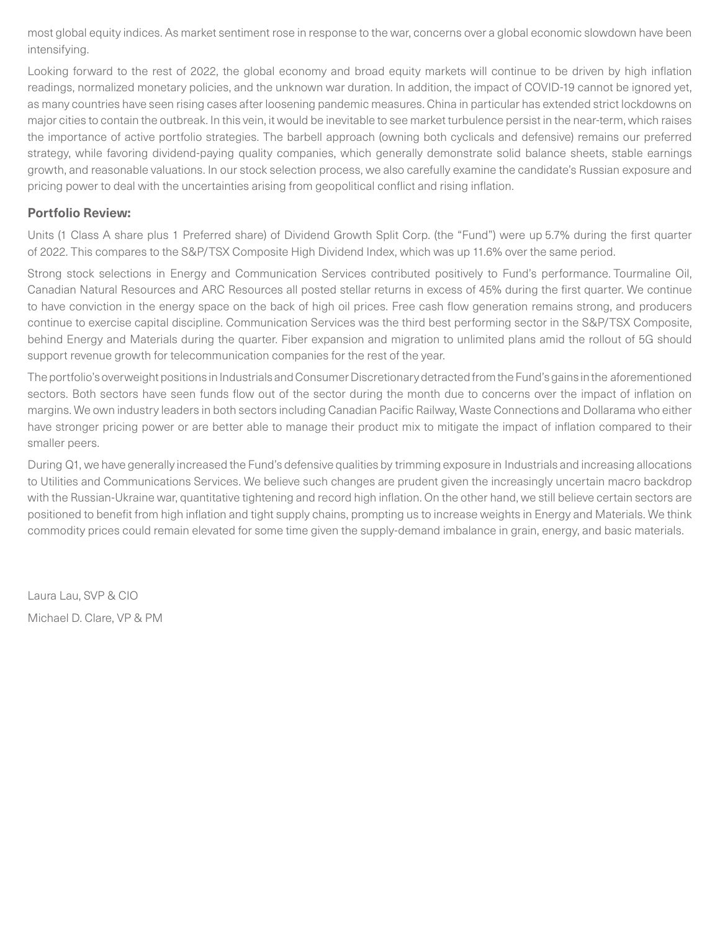most global equity indices. As market sentiment rose in response to the war, concerns over a global economic slowdown have been intensifying.

Looking forward to the rest of 2022, the global economy and broad equity markets will continue to be driven by high inflation readings, normalized monetary policies, and the unknown war duration. In addition, the impact of COVID-19 cannot be ignored yet, as many countries have seen rising cases after loosening pandemic measures. China in particular has extended strict lockdowns on major cities to contain the outbreak. In this vein, it would be inevitable to see market turbulence persist in the near-term, which raises the importance of active portfolio strategies. The barbell approach (owning both cyclicals and defensive) remains our preferred strategy, while favoring dividend-paying quality companies, which generally demonstrate solid balance sheets, stable earnings growth, and reasonable valuations. In our stock selection process, we also carefully examine the candidate's Russian exposure and pricing power to deal with the uncertainties arising from geopolitical conflict and rising inflation.

## **Portfolio Review:**

Units (1 Class A share plus 1 Preferred share) of Dividend Growth Split Corp. (the "Fund") were up 5.7% during the first quarter of 2022. This compares to the S&P/TSX Composite High Dividend Index, which was up 11.6% over the same period.

Strong stock selections in Energy and Communication Services contributed positively to Fund's performance. Tourmaline Oil, Canadian Natural Resources and ARC Resources all posted stellar returns in excess of 45% during the first quarter. We continue to have conviction in the energy space on the back of high oil prices. Free cash flow generation remains strong, and producers continue to exercise capital discipline. Communication Services was the third best performing sector in the S&P/TSX Composite, behind Energy and Materials during the quarter. Fiber expansion and migration to unlimited plans amid the rollout of 5G should support revenue growth for telecommunication companies for the rest of the year.

The portfolio's overweight positions in Industrials and Consumer Discretionary detracted from the Fund's gains in the aforementioned sectors. Both sectors have seen funds flow out of the sector during the month due to concerns over the impact of inflation on margins. We own industry leaders in both sectors including Canadian Pacific Railway, Waste Connections and Dollarama who either have stronger pricing power or are better able to manage their product mix to mitigate the impact of inflation compared to their smaller peers.

During Q1, we have generally increased the Fund's defensive qualities by trimming exposure in Industrials and increasing allocations to Utilities and Communications Services. We believe such changes are prudent given the increasingly uncertain macro backdrop with the Russian-Ukraine war, quantitative tightening and record high inflation. On the other hand, we still believe certain sectors are positioned to benefit from high inflation and tight supply chains, prompting us to increase weights in Energy and Materials. We think commodity prices could remain elevated for some time given the supply-demand imbalance in grain, energy, and basic materials.

Laura Lau, SVP & CIO Michael D. Clare, VP & PM